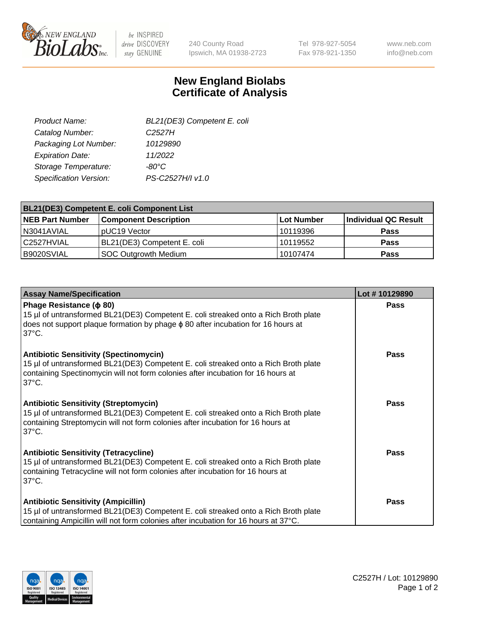

 $be$  INSPIRED drive DISCOVERY stay GENUINE

240 County Road Ipswich, MA 01938-2723 Tel 978-927-5054 Fax 978-921-1350 www.neb.com info@neb.com

## **New England Biolabs Certificate of Analysis**

| BL21(DE3) Competent E. coli |
|-----------------------------|
| C <sub>2527</sub> H         |
| 10129890                    |
| 11/2022                     |
| -80°C                       |
| PS-C2527H/I v1.0            |
|                             |

| <b>BL21(DE3) Competent E. coli Component List</b> |                              |            |                      |  |
|---------------------------------------------------|------------------------------|------------|----------------------|--|
| <b>NEB Part Number</b>                            | <b>Component Description</b> | Lot Number | Individual QC Result |  |
| N3041AVIAL                                        | pUC19 Vector                 | 10119396   | <b>Pass</b>          |  |
| C2527HVIAL                                        | BL21(DE3) Competent E. coli  | 10119552   | <b>Pass</b>          |  |
| B9020SVIAL                                        | SOC Outgrowth Medium         | 10107474   | <b>Pass</b>          |  |

| <b>Assay Name/Specification</b>                                                                                                                                                                                                             | Lot #10129890 |
|---------------------------------------------------------------------------------------------------------------------------------------------------------------------------------------------------------------------------------------------|---------------|
| Phage Resistance ( $\phi$ 80)<br>15 µl of untransformed BL21(DE3) Competent E. coli streaked onto a Rich Broth plate<br>does not support plaque formation by phage $\phi$ 80 after incubation for 16 hours at<br>$37^{\circ}$ C.            | <b>Pass</b>   |
| <b>Antibiotic Sensitivity (Spectinomycin)</b><br>15 µl of untransformed BL21(DE3) Competent E. coli streaked onto a Rich Broth plate<br>containing Spectinomycin will not form colonies after incubation for 16 hours at<br>$37^{\circ}$ C. | Pass          |
| <b>Antibiotic Sensitivity (Streptomycin)</b><br>15 µl of untransformed BL21(DE3) Competent E. coli streaked onto a Rich Broth plate<br>containing Streptomycin will not form colonies after incubation for 16 hours at<br>$37^{\circ}$ C.   | Pass          |
| <b>Antibiotic Sensitivity (Tetracycline)</b><br>15 µl of untransformed BL21(DE3) Competent E. coli streaked onto a Rich Broth plate<br>containing Tetracycline will not form colonies after incubation for 16 hours at<br>$37^{\circ}$ C.   | <b>Pass</b>   |
| <b>Antibiotic Sensitivity (Ampicillin)</b><br>15 µl of untransformed BL21(DE3) Competent E. coli streaked onto a Rich Broth plate<br>containing Ampicillin will not form colonies after incubation for 16 hours at 37°C.                    | <b>Pass</b>   |